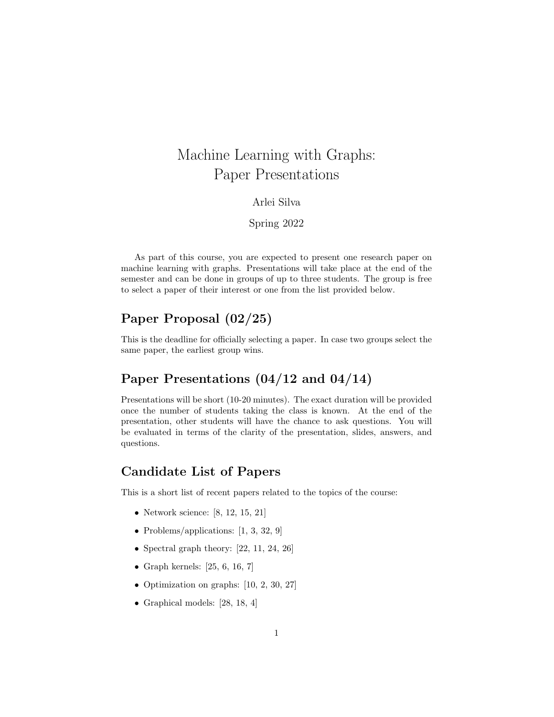# Machine Learning with Graphs: Paper Presentations

#### Arlei Silva

#### Spring 2022

As part of this course, you are expected to present one research paper on machine learning with graphs. Presentations will take place at the end of the semester and can be done in groups of up to three students. The group is free to select a paper of their interest or one from the list provided below.

# Paper Proposal (02/25)

This is the deadline for officially selecting a paper. In case two groups select the same paper, the earliest group wins.

## Paper Presentations (04/12 and 04/14)

Presentations will be short (10-20 minutes). The exact duration will be provided once the number of students taking the class is known. At the end of the presentation, other students will have the chance to ask questions. You will be evaluated in terms of the clarity of the presentation, slides, answers, and questions.

### Candidate List of Papers

This is a short list of recent papers related to the topics of the course:

- Network science: [8, 12, 15, 21]
- Problems/applications: [1, 3, 32, 9]
- Spectral graph theory:  $[22, 11, 24, 26]$
- Graph kernels:  $[25, 6, 16, 7]$
- Optimization on graphs: [10, 2, 30, 27]
- Graphical models: [28, 18, 4]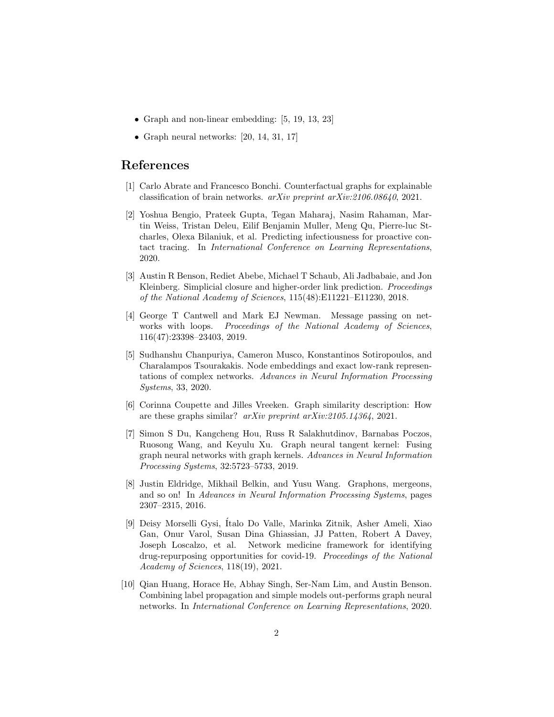- Graph and non-linear embedding: [5, 19, 13, 23]
- Graph neural networks:  $[20, 14, 31, 17]$

### References

- [1] Carlo Abrate and Francesco Bonchi. Counterfactual graphs for explainable classification of brain networks. arXiv preprint arXiv:2106.08640, 2021.
- [2] Yoshua Bengio, Prateek Gupta, Tegan Maharaj, Nasim Rahaman, Martin Weiss, Tristan Deleu, Eilif Benjamin Muller, Meng Qu, Pierre-luc Stcharles, Olexa Bilaniuk, et al. Predicting infectiousness for proactive contact tracing. In International Conference on Learning Representations, 2020.
- [3] Austin R Benson, Rediet Abebe, Michael T Schaub, Ali Jadbabaie, and Jon Kleinberg. Simplicial closure and higher-order link prediction. *Proceedings* of the National Academy of Sciences, 115(48):E11221–E11230, 2018.
- [4] George T Cantwell and Mark EJ Newman. Message passing on networks with loops. Proceedings of the National Academy of Sciences, 116(47):23398–23403, 2019.
- [5] Sudhanshu Chanpuriya, Cameron Musco, Konstantinos Sotiropoulos, and Charalampos Tsourakakis. Node embeddings and exact low-rank representations of complex networks. Advances in Neural Information Processing Systems, 33, 2020.
- [6] Corinna Coupette and Jilles Vreeken. Graph similarity description: How are these graphs similar? arXiv preprint arXiv:2105.14364, 2021.
- [7] Simon S Du, Kangcheng Hou, Russ R Salakhutdinov, Barnabas Poczos, Ruosong Wang, and Keyulu Xu. Graph neural tangent kernel: Fusing graph neural networks with graph kernels. Advances in Neural Information Processing Systems, 32:5723–5733, 2019.
- [8] Justin Eldridge, Mikhail Belkin, and Yusu Wang. Graphons, mergeons, and so on! In Advances in Neural Information Processing Systems, pages 2307–2315, 2016.
- [9] Deisy Morselli Gysi, ´Italo Do Valle, Marinka Zitnik, Asher Ameli, Xiao Gan, Onur Varol, Susan Dina Ghiassian, JJ Patten, Robert A Davey, Joseph Loscalzo, et al. Network medicine framework for identifying drug-repurposing opportunities for covid-19. Proceedings of the National Academy of Sciences, 118(19), 2021.
- [10] Qian Huang, Horace He, Abhay Singh, Ser-Nam Lim, and Austin Benson. Combining label propagation and simple models out-performs graph neural networks. In International Conference on Learning Representations, 2020.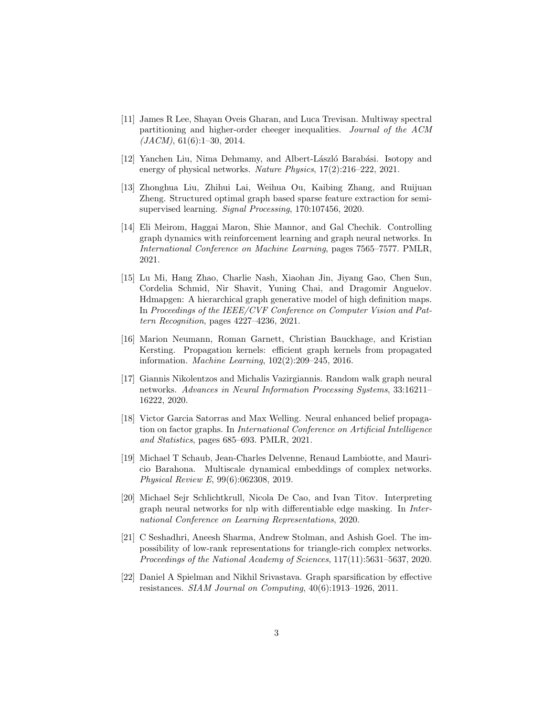- [11] James R Lee, Shayan Oveis Gharan, and Luca Trevisan. Multiway spectral partitioning and higher-order cheeger inequalities. Journal of the ACM  $(JACM)$ , 61(6):1-30, 2014.
- [12] Yanchen Liu, Nima Dehmamy, and Albert-László Barabási. Isotopy and energy of physical networks. Nature Physics, 17(2):216–222, 2021.
- [13] Zhonghua Liu, Zhihui Lai, Weihua Ou, Kaibing Zhang, and Ruijuan Zheng. Structured optimal graph based sparse feature extraction for semisupervised learning. Signal Processing, 170:107456, 2020.
- [14] Eli Meirom, Haggai Maron, Shie Mannor, and Gal Chechik. Controlling graph dynamics with reinforcement learning and graph neural networks. In International Conference on Machine Learning, pages 7565–7577. PMLR, 2021.
- [15] Lu Mi, Hang Zhao, Charlie Nash, Xiaohan Jin, Jiyang Gao, Chen Sun, Cordelia Schmid, Nir Shavit, Yuning Chai, and Dragomir Anguelov. Hdmapgen: A hierarchical graph generative model of high definition maps. In Proceedings of the IEEE/CVF Conference on Computer Vision and Pattern Recognition, pages 4227–4236, 2021.
- [16] Marion Neumann, Roman Garnett, Christian Bauckhage, and Kristian Kersting. Propagation kernels: efficient graph kernels from propagated information. Machine Learning, 102(2):209–245, 2016.
- [17] Giannis Nikolentzos and Michalis Vazirgiannis. Random walk graph neural networks. Advances in Neural Information Processing Systems, 33:16211– 16222, 2020.
- [18] Victor Garcia Satorras and Max Welling. Neural enhanced belief propagation on factor graphs. In International Conference on Artificial Intelligence and Statistics, pages 685–693. PMLR, 2021.
- [19] Michael T Schaub, Jean-Charles Delvenne, Renaud Lambiotte, and Mauricio Barahona. Multiscale dynamical embeddings of complex networks. Physical Review E, 99(6):062308, 2019.
- [20] Michael Sejr Schlichtkrull, Nicola De Cao, and Ivan Titov. Interpreting graph neural networks for nlp with differentiable edge masking. In International Conference on Learning Representations, 2020.
- [21] C Seshadhri, Aneesh Sharma, Andrew Stolman, and Ashish Goel. The impossibility of low-rank representations for triangle-rich complex networks. Proceedings of the National Academy of Sciences, 117(11):5631–5637, 2020.
- [22] Daniel A Spielman and Nikhil Srivastava. Graph sparsification by effective resistances. SIAM Journal on Computing, 40(6):1913–1926, 2011.